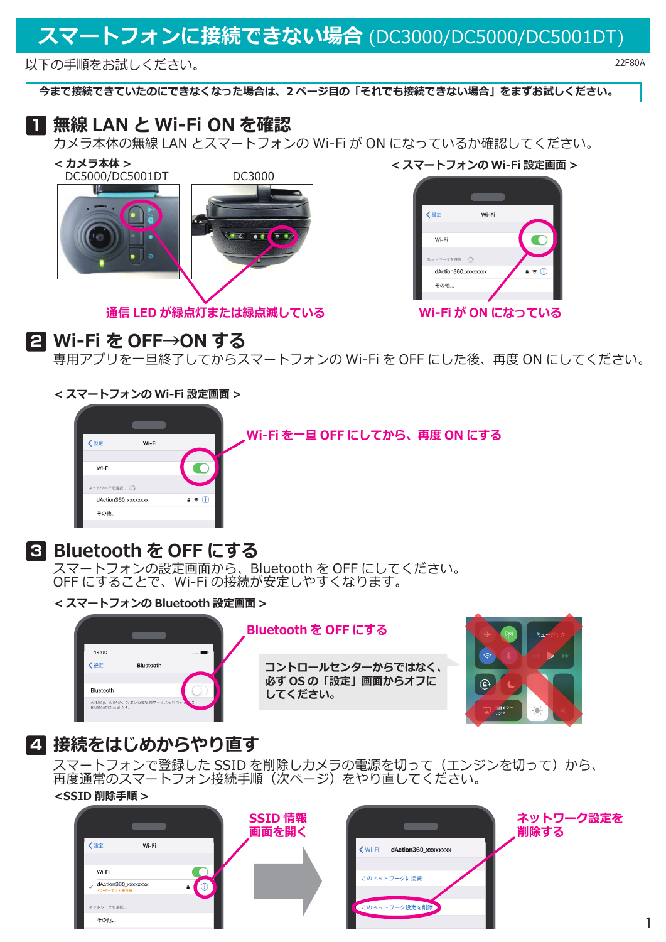# **スマートフォンに接続できない場合** (DC3000/DC5000/DC5001DT)

以下の手順をお試しください。

**今まで接続できていたのにできなくなった場合は、2 ページ目の「それでも接続できない場合」をまずお試しください。**

#### **1 無線 LAN と Wi-Fi ON を確認**

カメラ本体の無線 LAN とスマートフォンの Wi-Fi が ON になっているか確認してください。



**通信 LED が緑点灯または緑点滅している**

く設定 Wi-Fi Wi-Fi

> ネットワークを選択... : dAction360 xxxxxxx その他..

**Wi-Fi が ON になっている**

**2 Wi-Fi を OFF→ON する**

専用アプリを一旦終了してからスマートフォンの Wi-Fi を OFF にした後、再度 ON にしてください。

**< スマートフォンの Wi-Fi 設定画面 >**



# **3 Bluetooth を OFF にする**

スマートフォンの設定画面から、Bluetooth を OFF にしてください。 OFF にすることで、Wi-Fi の接続が安定しやすくなります。

**< スマートフォンの Bluetooth 設定画面 >**



**Bluetooth を OFF にする**

**コントロールセンターからではなく、 必ず OS の「設定」画面からオフに してください。**



1

## **4 接続をはじめからやり直す**

スマートフォンで登録した SSID を削除しカメラの電源を切って(エンジンを切って)から、 再度通常のスマートフォン接続手順(次ページ)をやり直してください。 **<SSID 削除手順 >**



22F80A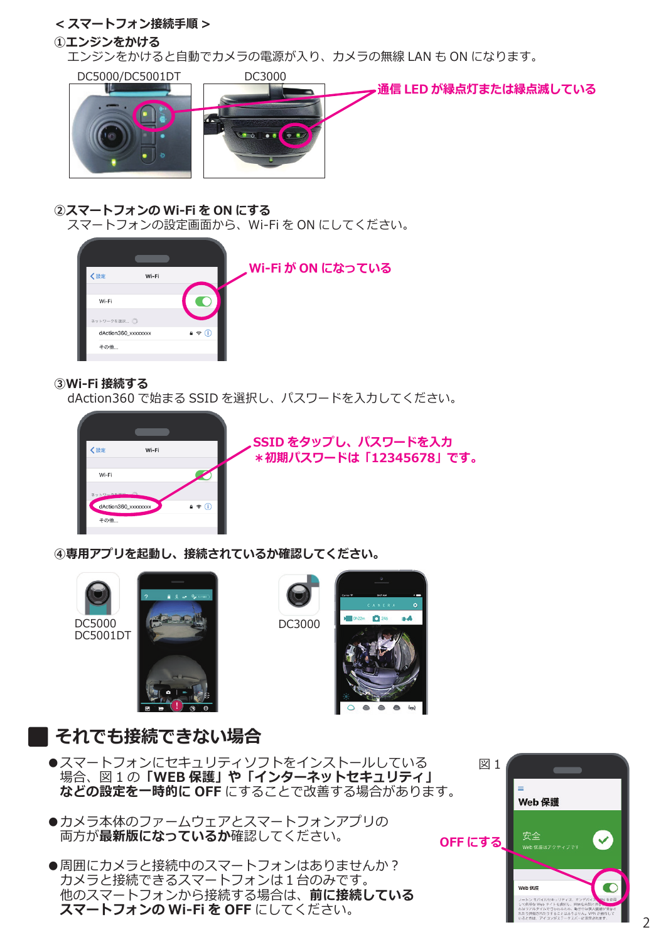### **< スマートフォン接続手順 >**

#### **①エンジンをかける**

エンジンをかけると自動でカメラの電源が入り、カメラの無線 LAN も ON になります。



#### **②スマートフォンの Wi-Fi を ON にする**

スマートフォンの設定画面から、Wi-Fi を ON にしてください。



#### **③Wi-Fi 接続する**

dAction360 で始まる SSID を選択し、パスワードを入力してください。



**SSID をタップし、パスワードを入力 \*初期パスワードは「12345678」です。**

**④専用アプリを起動し、接続されているか確認してください。**









### **それでも接続できない場合**

- ●スマートフォンにセキュリティソフトをインストールしている 場合、図 1 の**「WEB 保護」や「インターネットセキュリティ」 などの設定を一時的に OFF** にすることで改善する場合があります。
- ●カメラ本体のファームウェアとスマートフォンアプリの 両方が**最新版になっているか**確認してください。
- ●周囲にカメラと接続中のスマートフォンはありませんか? カメラと接続できるスマートフォンは1台のみです。 他のスマートフォンから接続する場合は、**前に接続している スマートフォンの Wi-Fi を OFF** にしてください。

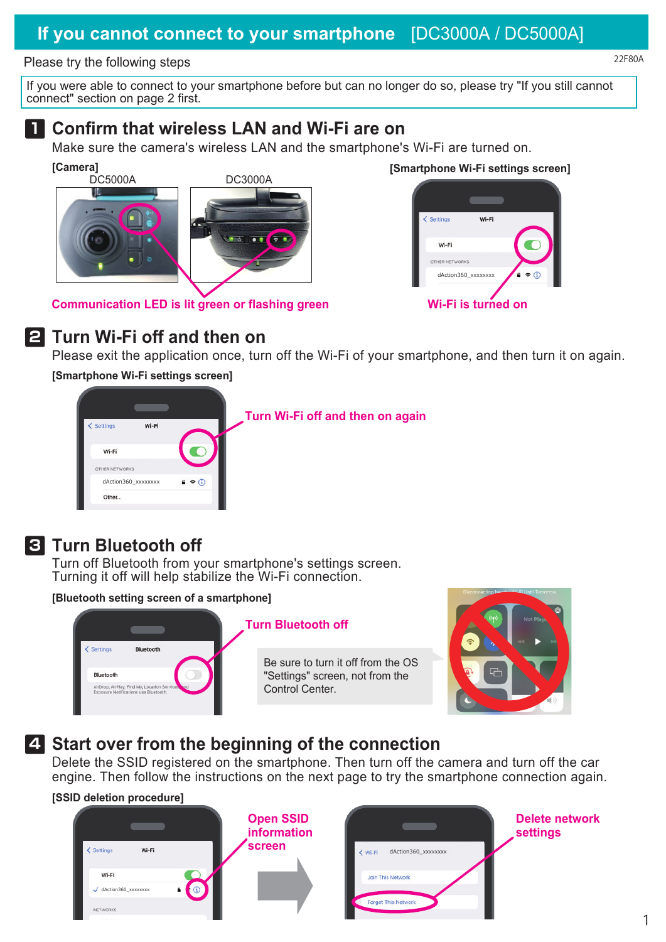### **If you cannot connect to your smartphone** [DC3000A / DC5000A]

#### Please try the following steps

If you were able to connect to your smartphone before but can no longer do so, please try "If you still cannot connect" section on page 2 first.

#### **1 Confirm that wireless LAN and Wi-Fi are on**

Make sure the camera's wireless LAN and the smartphone's Wi-Fi are turned on.

**[Camera] [Smartphone Wi-Fi settings screen]** DC5000A

**Communication LED is lit green or flashing green**





### **2 Turn Wi-Fi off and then on**

Please exit the application once, turn off the Wi-Fi of your smartphone, and then turn it on again.

**[Smartphone Wi-Fi settings screen]**



**Turn Wi-Fi off and then on again**



## **3 Turn Bluetooth off**

Turn off Bluetooth from your smartphone's settings screen. Turning it off will help stabilize the Wi-Fi connection.

**[Bluetooth setting screen of a smartphone]**



#### **Turn Bluetooth off**

Be sure to turn it off from the OS "Settings" screen, not from the Control Center.



### **4 Start over from the beginning of the connection**

Delete the SSID registered on the smartphone. Then turn off the camera and turn off the car engine. Then follow the instructions on the next page to try the smartphone connection again.





22F80A